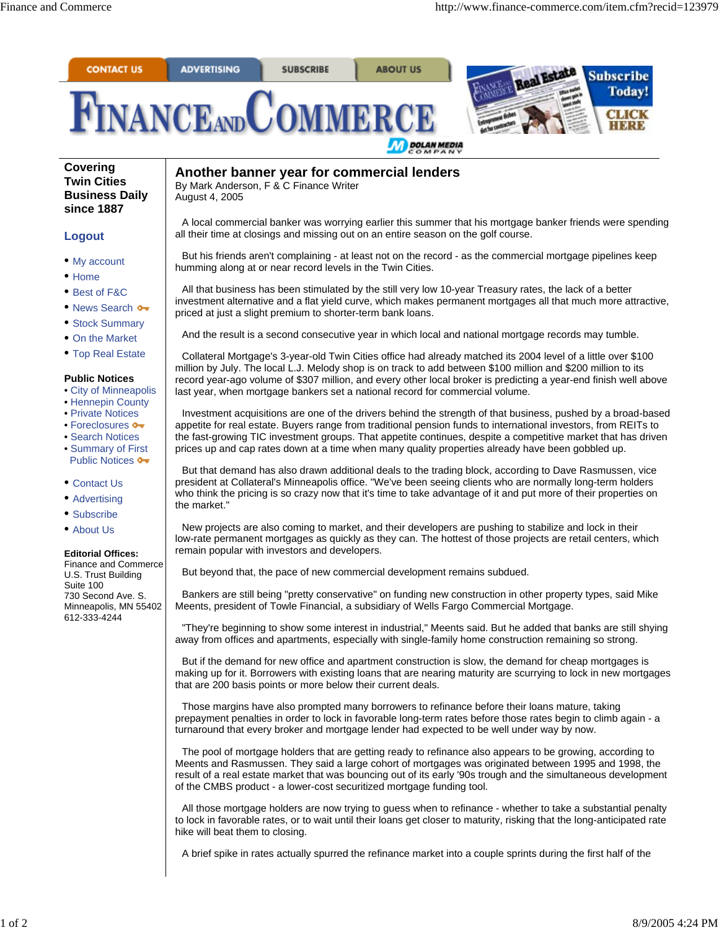

## **Covering Twin Cities Business Daily since 1887**

## **Logout**

- My account
- Home
- Best of F&C
- News Search •
- Stock Summary
- On the Market
- Top Real Estate

## **Public Notices**

- City of Minneapolis
- Hennepin County
- Private Notices
- Foreclosures  $\bullet\bullet$
- Search Notices • Summary of First
- Public Notices  $\bullet\bullet$
- Contact Us
- Advertising
- Subscribe
- About Us

## **Editorial Offices:**

Finance and Commerce U.S. Trust Building Suite 100 730 Second Ave. S. Minneapolis, MN 55402 612-333-4244

**Another banner year for commercial lenders** By Mark Anderson, F & C Finance Writer August 4, 2005

A local commercial banker was worrying earlier this summer that his mortgage banker friends were spending all their time at closings and missing out on an entire season on the golf course.

But his friends aren't complaining - at least not on the record - as the commercial mortgage pipelines keep humming along at or near record levels in the Twin Cities.

All that business has been stimulated by the still very low 10-year Treasury rates, the lack of a better investment alternative and a flat yield curve, which makes permanent mortgages all that much more attractive, priced at just a slight premium to shorter-term bank loans.

And the result is a second consecutive year in which local and national mortgage records may tumble.

Collateral Mortgage's 3-year-old Twin Cities office had already matched its 2004 level of a little over \$100 million by July. The local L.J. Melody shop is on track to add between \$100 million and \$200 million to its record year-ago volume of \$307 million, and every other local broker is predicting a year-end finish well above last year, when mortgage bankers set a national record for commercial volume.

Investment acquisitions are one of the drivers behind the strength of that business, pushed by a broad-based appetite for real estate. Buyers range from traditional pension funds to international investors, from REITs to the fast-growing TIC investment groups. That appetite continues, despite a competitive market that has driven prices up and cap rates down at a time when many quality properties already have been gobbled up.

But that demand has also drawn additional deals to the trading block, according to Dave Rasmussen, vice president at Collateral's Minneapolis office. "We've been seeing clients who are normally long-term holders who think the pricing is so crazy now that it's time to take advantage of it and put more of their properties on the market."

New projects are also coming to market, and their developers are pushing to stabilize and lock in their low-rate permanent mortgages as quickly as they can. The hottest of those projects are retail centers, which remain popular with investors and developers.

But beyond that, the pace of new commercial development remains subdued.

Bankers are still being "pretty conservative" on funding new construction in other property types, said Mike Meents, president of Towle Financial, a subsidiary of Wells Fargo Commercial Mortgage.

"They're beginning to show some interest in industrial," Meents said. But he added that banks are still shying away from offices and apartments, especially with single-family home construction remaining so strong.

But if the demand for new office and apartment construction is slow, the demand for cheap mortgages is making up for it. Borrowers with existing loans that are nearing maturity are scurrying to lock in new mortgages that are 200 basis points or more below their current deals.

Those margins have also prompted many borrowers to refinance before their loans mature, taking prepayment penalties in order to lock in favorable long-term rates before those rates begin to climb again - a turnaround that every broker and mortgage lender had expected to be well under way by now.

The pool of mortgage holders that are getting ready to refinance also appears to be growing, according to Meents and Rasmussen. They said a large cohort of mortgages was originated between 1995 and 1998, the result of a real estate market that was bouncing out of its early '90s trough and the simultaneous development of the CMBS product - a lower-cost securitized mortgage funding tool.

All those mortgage holders are now trying to guess when to refinance - whether to take a substantial penalty to lock in favorable rates, or to wait until their loans get closer to maturity, risking that the long-anticipated rate hike will beat them to closing.

A brief spike in rates actually spurred the refinance market into a couple sprints during the first half of the